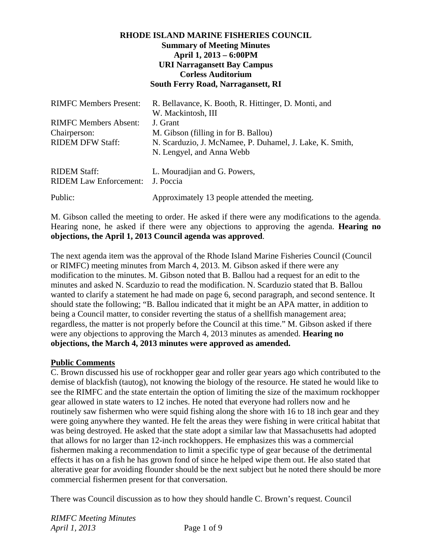#### **RHODE ISLAND MARINE FISHERIES COUNCIL Summary of Meeting Minutes April 1, 2013 – 6:00PM URI Narragansett Bay Campus Corless Auditorium South Ferry Road, Narragansett, RI**

| <b>RIMFC Members Present:</b>                        | R. Bellavance, K. Booth, R. Hittinger, D. Monti, and                                  |
|------------------------------------------------------|---------------------------------------------------------------------------------------|
| <b>RIMFC Members Absent:</b><br>Chairperson:         | W. Mackintosh, III<br>J. Grant<br>M. Gibson (filling in for B. Ballou)                |
| <b>RIDEM DFW Staff:</b>                              | N. Scarduzio, J. McNamee, P. Duhamel, J. Lake, K. Smith,<br>N. Lengyel, and Anna Webb |
| <b>RIDEM Staff:</b><br><b>RIDEM Law Enforcement:</b> | L. Mouradjian and G. Powers,<br>J. Poccia                                             |
| Public:                                              | Approximately 13 people attended the meeting.                                         |

M. Gibson called the meeting to order. He asked if there were any modifications to the agenda. Hearing none, he asked if there were any objections to approving the agenda. **Hearing no objections, the April 1, 2013 Council agenda was approved**.

The next agenda item was the approval of the Rhode Island Marine Fisheries Council (Council or RIMFC) meeting minutes from March 4, 2013. M. Gibson asked if there were any modification to the minutes. M. Gibson noted that B. Ballou had a request for an edit to the minutes and asked N. Scarduzio to read the modification. N. Scarduzio stated that B. Ballou wanted to clarify a statement he had made on page 6, second paragraph, and second sentence. It should state the following; "B. Ballou indicated that it might be an APA matter, in addition to being a Council matter, to consider reverting the status of a shellfish management area; regardless, the matter is not properly before the Council at this time." M. Gibson asked if there were any objections to approving the March 4, 2013 minutes as amended. **Hearing no objections, the March 4, 2013 minutes were approved as amended.**

#### **Public Comments**

C. Brown discussed his use of rockhopper gear and roller gear years ago which contributed to the demise of blackfish (tautog), not knowing the biology of the resource. He stated he would like to see the RIMFC and the state entertain the option of limiting the size of the maximum rockhopper gear allowed in state waters to 12 inches. He noted that everyone had rollers now and he routinely saw fishermen who were squid fishing along the shore with 16 to 18 inch gear and they were going anywhere they wanted. He felt the areas they were fishing in were critical habitat that was being destroyed. He asked that the state adopt a similar law that Massachusetts had adopted that allows for no larger than 12-inch rockhoppers. He emphasizes this was a commercial fishermen making a recommendation to limit a specific type of gear because of the detrimental effects it has on a fish he has grown fond of since he helped wipe them out. He also stated that alterative gear for avoiding flounder should be the next subject but he noted there should be more commercial fishermen present for that conversation.

There was Council discussion as to how they should handle C. Brown's request. Council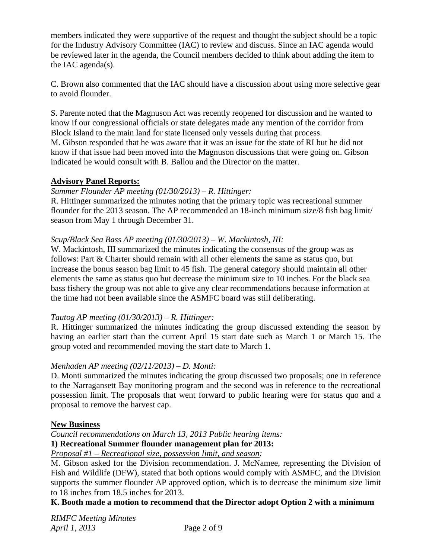members indicated they were supportive of the request and thought the subject should be a topic for the Industry Advisory Committee (IAC) to review and discuss. Since an IAC agenda would be reviewed later in the agenda, the Council members decided to think about adding the item to the IAC agenda(s).

C. Brown also commented that the IAC should have a discussion about using more selective gear to avoid flounder.

S. Parente noted that the Magnuson Act was recently reopened for discussion and he wanted to know if our congressional officials or state delegates made any mention of the corridor from Block Island to the main land for state licensed only vessels during that process. M. Gibson responded that he was aware that it was an issue for the state of RI but he did not know if that issue had been moved into the Magnuson discussions that were going on. Gibson indicated he would consult with B. Ballou and the Director on the matter.

# **Advisory Panel Reports:**

## *Summer Flounder AP meeting (01/30/2013) – R. Hittinger:*

R. Hittinger summarized the minutes noting that the primary topic was recreational summer flounder for the 2013 season. The AP recommended an 18-inch minimum size/8 fish bag limit/ season from May 1 through December 31.

## *Scup/Black Sea Bass AP meeting (01/30/2013) – W. Mackintosh, III:*

W. Mackintosh, III summarized the minutes indicating the consensus of the group was as follows: Part  $\&$  Charter should remain with all other elements the same as status quo, but increase the bonus season bag limit to 45 fish. The general category should maintain all other elements the same as status quo but decrease the minimum size to 10 inches. For the black sea bass fishery the group was not able to give any clear recommendations because information at the time had not been available since the ASMFC board was still deliberating.

## *Tautog AP meeting (01/30/2013) – R. Hittinger:*

R. Hittinger summarized the minutes indicating the group discussed extending the season by having an earlier start than the current April 15 start date such as March 1 or March 15. The group voted and recommended moving the start date to March 1.

## *Menhaden AP meeting (02/11/2013) – D. Monti:*

D. Monti summarized the minutes indicating the group discussed two proposals; one in reference to the Narragansett Bay monitoring program and the second was in reference to the recreational possession limit. The proposals that went forward to public hearing were for status quo and a proposal to remove the harvest cap.

## **New Business**

*Council recommendations on March 13, 2013 Public hearing items:* 

**1) Recreational Summer flounder management plan for 2013:**

*Proposal #1 – Recreational size, possession limit, and season:* 

M. Gibson asked for the Division recommendation. J. McNamee, representing the Division of Fish and Wildlife (DFW), stated that both options would comply with ASMFC, and the Division supports the summer flounder AP approved option, which is to decrease the minimum size limit to 18 inches from 18.5 inches for 2013.

## **K. Booth made a motion to recommend that the Director adopt Option 2 with a minimum**

*RIMFC Meeting Minutes April 1, 2013* Page 2 of 9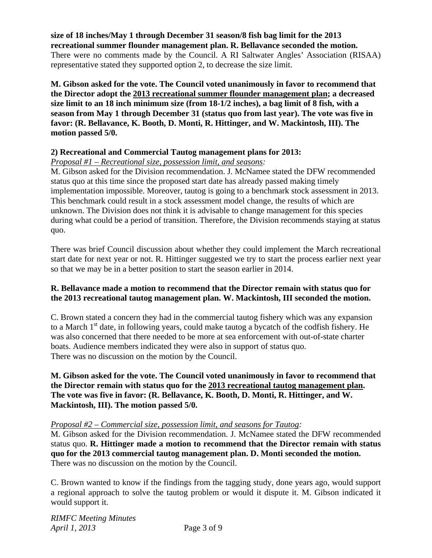**size of 18 inches/May 1 through December 31 season/8 fish bag limit for the 2013 recreational summer flounder management plan. R. Bellavance seconded the motion.**  There were no comments made by the Council. A RI Saltwater Angles' Association (RISAA) representative stated they supported option 2, to decrease the size limit.

**M. Gibson asked for the vote. The Council voted unanimously in favor to recommend that the Director adopt the 2013 recreational summer flounder management plan; a decreased size limit to an 18 inch minimum size (from 18-1/2 inches), a bag limit of 8 fish, with a season from May 1 through December 31 (status quo from last year). The vote was five in favor: (R. Bellavance, K. Booth, D. Monti, R. Hittinger, and W. Mackintosh, III). The motion passed 5/0.** 

#### **2) Recreational and Commercial Tautog management plans for 2013:**

*Proposal #1 – Recreational size, possession limit, and seasons:* 

M. Gibson asked for the Division recommendation. J. McNamee stated the DFW recommended status quo at this time since the proposed start date has already passed making timely implementation impossible. Moreover, tautog is going to a benchmark stock assessment in 2013. This benchmark could result in a stock assessment model change, the results of which are unknown. The Division does not think it is advisable to change management for this species during what could be a period of transition. Therefore, the Division recommends staying at status quo.

There was brief Council discussion about whether they could implement the March recreational start date for next year or not. R. Hittinger suggested we try to start the process earlier next year so that we may be in a better position to start the season earlier in 2014.

#### **R. Bellavance made a motion to recommend that the Director remain with status quo for the 2013 recreational tautog management plan. W. Mackintosh, III seconded the motion.**

C. Brown stated a concern they had in the commercial tautog fishery which was any expansion to a March  $1<sup>st</sup>$  date, in following years, could make tautog a bycatch of the codfish fishery. He was also concerned that there needed to be more at sea enforcement with out-of-state charter boats. Audience members indicated they were also in support of status quo. There was no discussion on the motion by the Council.

**M. Gibson asked for the vote. The Council voted unanimously in favor to recommend that the Director remain with status quo for the 2013 recreational tautog management plan. The vote was five in favor: (R. Bellavance, K. Booth, D. Monti, R. Hittinger, and W. Mackintosh, III). The motion passed 5/0.** 

#### *Proposal #2 – Commercial size, possession limit, and seasons for Tautog:*

M. Gibson asked for the Division recommendation. J. McNamee stated the DFW recommended status quo. **R. Hittinger made a motion to recommend that the Director remain with status quo for the 2013 commercial tautog management plan. D. Monti seconded the motion.** There was no discussion on the motion by the Council.

C. Brown wanted to know if the findings from the tagging study, done years ago, would support a regional approach to solve the tautog problem or would it dispute it. M. Gibson indicated it would support it.

*RIMFC Meeting Minutes April 1, 2013* Page 3 of 9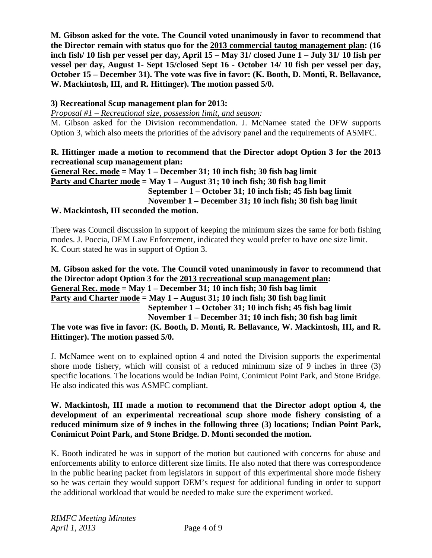**M. Gibson asked for the vote. The Council voted unanimously in favor to recommend that the Director remain with status quo for the 2013 commercial tautog management plan: (16 inch fish/ 10 fish per vessel per day, April 15 – May 31/ closed June 1 – July 31/ 10 fish per vessel per day, August 1- Sept 15/closed Sept 16 - October 14/ 10 fish per vessel per day, October 15 – December 31). The vote was five in favor: (K. Booth, D. Monti, R. Bellavance, W. Mackintosh, III, and R. Hittinger). The motion passed 5/0.** 

# **3) Recreational Scup management plan for 2013:**

*Proposal #1 – Recreational size, possession limit, and season:* 

M. Gibson asked for the Division recommendation. J. McNamee stated the DFW supports Option 3, which also meets the priorities of the advisory panel and the requirements of ASMFC.

#### **R. Hittinger made a motion to recommend that the Director adopt Option 3 for the 2013 recreational scup management plan:**

**General Rec. mode = May 1 – December 31; 10 inch fish; 30 fish bag limit Party and Charter mode = May 1 – August 31; 10 inch fish; 30 fish bag limit September 1 – October 31; 10 inch fish; 45 fish bag limit November 1 – December 31; 10 inch fish; 30 fish bag limit W. Mackintosh, III seconded the motion.** 

There was Council discussion in support of keeping the minimum sizes the same for both fishing modes. J. Poccia, DEM Law Enforcement, indicated they would prefer to have one size limit. K. Court stated he was in support of Option 3.

**M. Gibson asked for the vote. The Council voted unanimously in favor to recommend that the Director adopt Option 3 for the 2013 recreational scup management plan: General Rec. mode = May 1 – December 31; 10 inch fish; 30 fish bag limit Party and Charter mode = May 1 – August 31; 10 inch fish; 30 fish bag limit September 1 – October 31; 10 inch fish; 45 fish bag limit November 1 – December 31; 10 inch fish; 30 fish bag limit** 

**The vote was five in favor: (K. Booth, D. Monti, R. Bellavance, W. Mackintosh, III, and R. Hittinger). The motion passed 5/0.** 

J. McNamee went on to explained option 4 and noted the Division supports the experimental shore mode fishery, which will consist of a reduced minimum size of 9 inches in three (3) specific locations. The locations would be Indian Point, Conimicut Point Park, and Stone Bridge. He also indicated this was ASMFC compliant.

#### **W. Mackintosh, III made a motion to recommend that the Director adopt option 4, the development of an experimental recreational scup shore mode fishery consisting of a reduced minimum size of 9 inches in the following three (3) locations; Indian Point Park, Conimicut Point Park, and Stone Bridge. D. Monti seconded the motion.**

K. Booth indicated he was in support of the motion but cautioned with concerns for abuse and enforcements ability to enforce different size limits. He also noted that there was correspondence in the public hearing packet from legislators in support of this experimental shore mode fishery so he was certain they would support DEM's request for additional funding in order to support the additional workload that would be needed to make sure the experiment worked.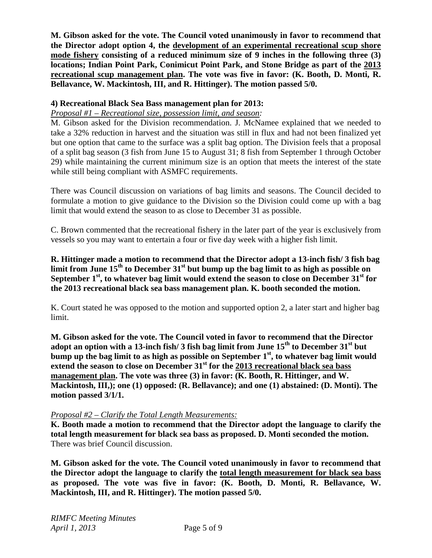**M. Gibson asked for the vote. The Council voted unanimously in favor to recommend that the Director adopt option 4, the development of an experimental recreational scup shore mode fishery consisting of a reduced minimum size of 9 inches in the following three (3) locations; Indian Point Park, Conimicut Point Park, and Stone Bridge as part of the 2013 recreational scup management plan. The vote was five in favor: (K. Booth, D. Monti, R. Bellavance, W. Mackintosh, III, and R. Hittinger). The motion passed 5/0.** 

## **4) Recreational Black Sea Bass management plan for 2013:**

## *Proposal #1 – Recreational size, possession limit, and season:*

M. Gibson asked for the Division recommendation. J. McNamee explained that we needed to take a 32% reduction in harvest and the situation was still in flux and had not been finalized yet but one option that came to the surface was a split bag option. The Division feels that a proposal of a split bag season (3 fish from June 15 to August 31; 8 fish from September 1 through October 29) while maintaining the current minimum size is an option that meets the interest of the state while still being compliant with ASMFC requirements.

There was Council discussion on variations of bag limits and seasons. The Council decided to formulate a motion to give guidance to the Division so the Division could come up with a bag limit that would extend the season to as close to December 31 as possible.

C. Brown commented that the recreational fishery in the later part of the year is exclusively from vessels so you may want to entertain a four or five day week with a higher fish limit.

**R. Hittinger made a motion to recommend that the Director adopt a 13-inch fish/ 3 fish bag limit from June 15th to December 31st but bump up the bag limit to as high as possible on**  September 1<sup>st</sup>, to whatever bag limit would extend the season to close on December 31<sup>st</sup> for **the 2013 recreational black sea bass management plan. K. booth seconded the motion.** 

K. Court stated he was opposed to the motion and supported option 2, a later start and higher bag limit.

**M. Gibson asked for the vote. The Council voted in favor to recommend that the Director adopt an option with a 13-inch fish/ 3 fish bag limit from June 15th to December 31st but**  bump up the bag limit to as high as possible on September 1<sup>st</sup>, to whatever bag limit would **extend the season to close on December 31st for the 2013 recreational black sea bass management plan. The vote was three (3) in favor: (K. Booth, R. Hittinger, and W. Mackintosh, III,); one (1) opposed: (R. Bellavance); and one (1) abstained: (D. Monti). The motion passed 3/1/1.** 

## *Proposal #2 – Clarify the Total Length Measurements:*

**K. Booth made a motion to recommend that the Director adopt the language to clarify the total length measurement for black sea bass as proposed. D. Monti seconded the motion.**  There was brief Council discussion.

**M. Gibson asked for the vote. The Council voted unanimously in favor to recommend that the Director adopt the language to clarify the total length measurement for black sea bass as proposed. The vote was five in favor: (K. Booth, D. Monti, R. Bellavance, W. Mackintosh, III, and R. Hittinger). The motion passed 5/0.**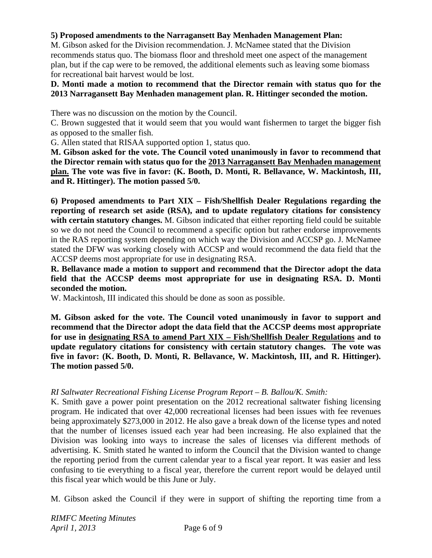## **5) Proposed amendments to the Narragansett Bay Menhaden Management Plan:**

M. Gibson asked for the Division recommendation. J. McNamee stated that the Division recommends status quo. The biomass floor and threshold meet one aspect of the management plan, but if the cap were to be removed, the additional elements such as leaving some biomass for recreational bait harvest would be lost.

#### **D. Monti made a motion to recommend that the Director remain with status quo for the 2013 Narragansett Bay Menhaden management plan. R. Hittinger seconded the motion.**

There was no discussion on the motion by the Council.

C. Brown suggested that it would seem that you would want fishermen to target the bigger fish as opposed to the smaller fish.

G. Allen stated that RISAA supported option 1, status quo.

**M. Gibson asked for the vote. The Council voted unanimously in favor to recommend that the Director remain with status quo for the 2013 Narragansett Bay Menhaden management plan. The vote was five in favor: (K. Booth, D. Monti, R. Bellavance, W. Mackintosh, III, and R. Hittinger). The motion passed 5/0.** 

**6) Proposed amendments to Part XIX – Fish/Shellfish Dealer Regulations regarding the reporting of research set aside (RSA), and to update regulatory citations for consistency with certain statutory changes.** M. Gibson indicated that either reporting field could be suitable so we do not need the Council to recommend a specific option but rather endorse improvements in the RAS reporting system depending on which way the Division and ACCSP go. J. McNamee stated the DFW was working closely with ACCSP and would recommend the data field that the ACCSP deems most appropriate for use in designating RSA.

**R. Bellavance made a motion to support and recommend that the Director adopt the data field that the ACCSP deems most appropriate for use in designating RSA. D. Monti seconded the motion.** 

W. Mackintosh, III indicated this should be done as soon as possible.

**M. Gibson asked for the vote. The Council voted unanimously in favor to support and recommend that the Director adopt the data field that the ACCSP deems most appropriate for use in designating RSA to amend Part XIX – Fish/Shellfish Dealer Regulations and to update regulatory citations for consistency with certain statutory changes. The vote was five in favor: (K. Booth, D. Monti, R. Bellavance, W. Mackintosh, III, and R. Hittinger). The motion passed 5/0.** 

## *RI Saltwater Recreational Fishing License Program Report – B. Ballou/K. Smith:*

K. Smith gave a power point presentation on the 2012 recreational saltwater fishing licensing program. He indicated that over 42,000 recreational licenses had been issues with fee revenues being approximately \$273,000 in 2012. He also gave a break down of the license types and noted that the number of licenses issued each year had been increasing. He also explained that the Division was looking into ways to increase the sales of licenses via different methods of advertising. K. Smith stated he wanted to inform the Council that the Division wanted to change the reporting period from the current calendar year to a fiscal year report. It was easier and less confusing to tie everything to a fiscal year, therefore the current report would be delayed until this fiscal year which would be this June or July.

M. Gibson asked the Council if they were in support of shifting the reporting time from a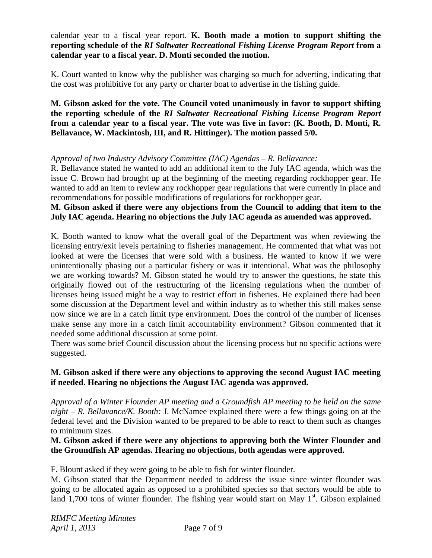calendar year to a fiscal year report. **K. Booth made a motion to support shifting the reporting schedule of the** *RI Saltwater Recreational Fishing License Program Report* **from a calendar year to a fiscal year. D. Monti seconded the motion.** 

K. Court wanted to know why the publisher was charging so much for adverting, indicating that the cost was prohibitive for any party or charter boat to advertise in the fishing guide.

**M. Gibson asked for the vote. The Council voted unanimously in favor to support shifting the reporting schedule of the** *RI Saltwater Recreational Fishing License Program Report*  **from a calendar year to a fiscal year. The vote was five in favor: (K. Booth, D. Monti, R. Bellavance, W. Mackintosh, III, and R. Hittinger). The motion passed 5/0.** 

#### *Approval of two Industry Advisory Committee (IAC) Agendas – R. Bellavance:*

R. Bellavance stated he wanted to add an additional item to the July IAC agenda, which was the issue C. Brown had brought up at the beginning of the meeting regarding rockhopper gear. He wanted to add an item to review any rockhopper gear regulations that were currently in place and recommendations for possible modifications of regulations for rockhopper gear.

#### **M. Gibson asked if there were any objections from the Council to adding that item to the July IAC agenda. Hearing no objections the July IAC agenda as amended was approved.**

K. Booth wanted to know what the overall goal of the Department was when reviewing the licensing entry/exit levels pertaining to fisheries management. He commented that what was not looked at were the licenses that were sold with a business. He wanted to know if we were unintentionally phasing out a particular fishery or was it intentional. What was the philosophy we are working towards? M. Gibson stated he would try to answer the questions, he state this originally flowed out of the restructuring of the licensing regulations when the number of licenses being issued might be a way to restrict effort in fisheries. He explained there had been some discussion at the Department level and within industry as to whether this still makes sense now since we are in a catch limit type environment. Does the control of the number of licenses make sense any more in a catch limit accountability environment? Gibson commented that it needed some additional discussion at some point.

There was some brief Council discussion about the licensing process but no specific actions were suggested.

## **M. Gibson asked if there were any objections to approving the second August IAC meeting if needed. Hearing no objections the August IAC agenda was approved.**

*Approval of a Winter Flounder AP meeting and a Groundfish AP meeting to be held on the same night – R. Bellavance/K. Booth:* J. McNamee explained there were a few things going on at the federal level and the Division wanted to be prepared to be able to react to them such as changes to minimum sizes.

#### **M. Gibson asked if there were any objections to approving both the Winter Flounder and the Groundfish AP agendas. Hearing no objections, both agendas were approved.**

F. Blount asked if they were going to be able to fish for winter flounder.

M. Gibson stated that the Department needed to address the issue since winter flounder was going to be allocated again as opposed to a prohibited species so that sectors would be able to land 1,700 tons of winter flounder. The fishing year would start on May  $1<sup>st</sup>$ . Gibson explained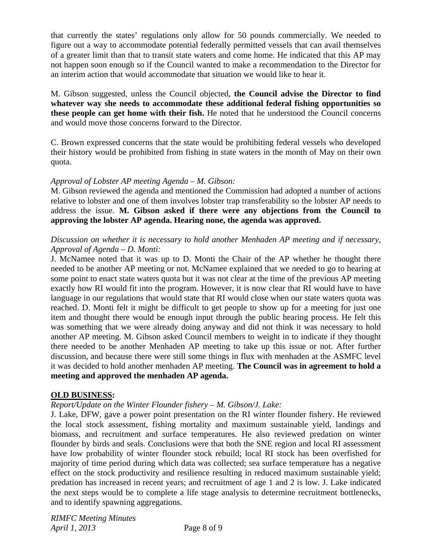that currently the states' regulations only allow for 50 pounds commercially. We needed to figure out a way to accommodate potential federally permitted vessels that can avail themselves of a greater limit than that to transit state waters and come home. He indicated that this AP may not happen soon enough so if the Council wanted to make a recommendation to the Director for an interim action that would accommodate that situation we would like to hear it.

M. Gibson suggested, unless the Council objected, **the Council advise the Director to find whatever way she needs to accommodate these additional federal fishing opportunities so these people can get home with their fish.** He noted that he understood the Council concerns and would move those concerns forward to the Director.

C. Brown expressed concerns that the state would be prohibiting federal vessels who developed their history would be prohibited from fishing in state waters in the month of May on their own quota.

#### *Approval of Lobster AP meeting Agenda – M. Gibson:*

M. Gibson reviewed the agenda and mentioned the Commission had adopted a number of actions relative to lobster and one of them involves lobster trap transferability so the lobster AP needs to address the issue. **M. Gibson asked if there were any objections from the Council to approving the lobster AP agenda. Hearing none, the agenda was approved.** 

#### *Discussion on whether it is necessary to hold another Menhaden AP meeting and if necessary, Approval of Agenda – D. Monti:*

J. McNamee noted that it was up to D. Monti the Chair of the AP whether he thought there needed to be another AP meeting or not. McNamee explained that we needed to go to hearing at some point to enact state waters quota but it was not clear at the time of the previous AP meeting exactly how RI would fit into the program. However, it is now clear that RI would have to have language in our regulations that would state that RI would close when our state waters quota was reached. D. Monti felt it might be difficult to get people to show up for a meeting for just one item and thought there would be enough input through the public hearing process. He felt this was something that we were already doing anyway and did not think it was necessary to hold another AP meeting. M. Gibson asked Council members to weight in to indicate if they thought there needed to be another Menhaden AP meeting to take up this issue or not. After further discussion, and because there were still some things in flux with menhaden at the ASMFC level it was decided to hold another menhaden AP meeting. **The Council was in agreement to hold a meeting and approved the menhaden AP agenda.** 

#### **OLD BUSINESS:**

## *Report/Update on the Winter Flounder fishery – M. Gibson/J. Lake:*

J. Lake, DFW, gave a power point presentation on the RI winter flounder fishery. He reviewed the local stock assessment, fishing mortality and maximum sustainable yield, landings and biomass, and recruitment and surface temperatures. He also reviewed predation on winter flounder by birds and seals. Conclusions were that both the SNE region and local RI assessment have low probability of winter flounder stock rebuild; local RI stock has been overfished for majority of time period during which data was collected; sea surface temperature has a negative effect on the stock productivity and resilience resulting in reduced maximum sustainable yield; predation has increased in recent years; and recruitment of age 1 and 2 is low. J. Lake indicated the next steps would be to complete a life stage analysis to determine recruitment bottlenecks, and to identify spawning aggregations.

*RIMFC Meeting Minutes April 1, 2013* Page 8 of 9